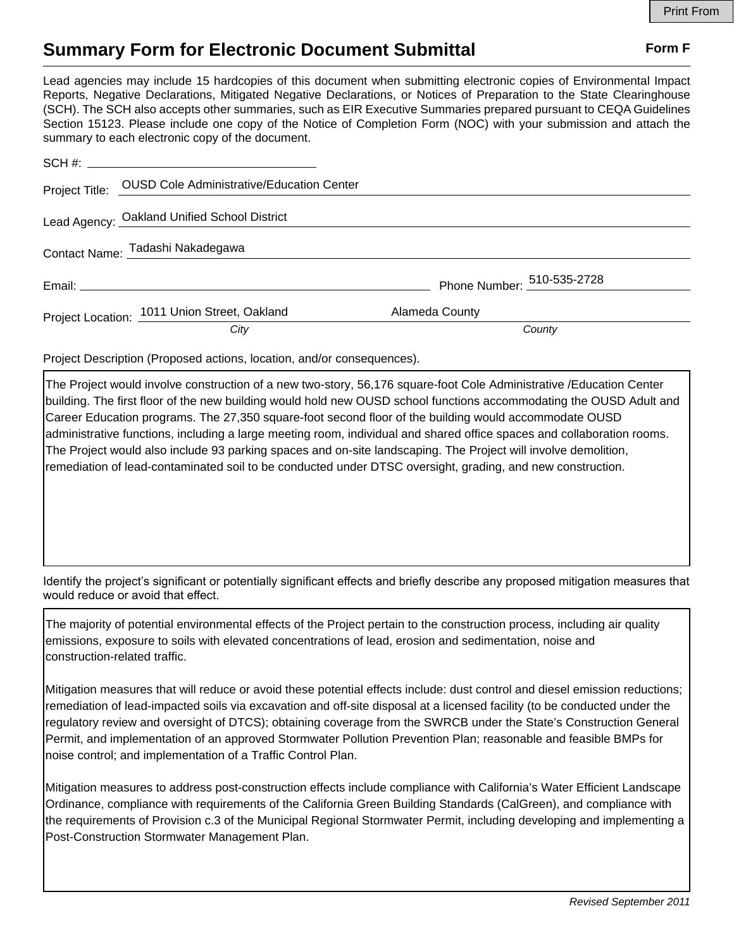## **Summary Form for Electronic Document Submittal Form F Form F**

Lead agencies may include 15 hardcopies of this document when submitting electronic copies of Environmental Impact Reports, Negative Declarations, Mitigated Negative Declarations, or Notices of Preparation to the State Clearinghouse (SCH). The SCH also accepts other summaries, such as EIR Executive Summaries prepared pursuant to CEQA Guidelines Section 15123. Please include one copy of the Notice of Completion Form (NOC) with your submission and attach the summary to each electronic copy of the document.

|  | Project Title: OUSD Cole Administrative/Education Center |                            |  |
|--|----------------------------------------------------------|----------------------------|--|
|  | Lead Agency: Oakland Unified School District             |                            |  |
|  | Contact Name: Tadashi Nakadegawa                         |                            |  |
|  |                                                          | Phone Number: 510-535-2728 |  |
|  | Project Location: 1011 Union Street, Oakland             | Alameda County             |  |
|  | City                                                     | County                     |  |

Project Description (Proposed actions, location, and/or consequences).

The Project would involve construction of a new two-story, 56,176 square-foot Cole Administrative /Education Center building. The first floor of the new building would hold new OUSD school functions accommodating the OUSD Adult and Career Education programs. The 27,350 square-foot second floor of the building would accommodate OUSD administrative functions, including a large meeting room, individual and shared office spaces and collaboration rooms. The Project would also include 93 parking spaces and on-site landscaping. The Project will involve demolition, remediation of lead-contaminated soil to be conducted under DTSC oversight, grading, and new construction.

Identify the project's significant or potentially significant effects and briefly describe any proposed mitigation measures that would reduce or avoid that effect.

The majority of potential environmental effects of the Project pertain to the construction process, including air quality emissions, exposure to soils with elevated concentrations of lead, erosion and sedimentation, noise and construction-related traffic.

Mitigation measures that will reduce or avoid these potential effects include: dust control and diesel emission reductions; remediation of lead-impacted soils via excavation and off-site disposal at a licensed facility (to be conducted under the regulatory review and oversight of DTCS); obtaining coverage from the SWRCB under the State's Construction General Permit, and implementation of an approved Stormwater Pollution Prevention Plan; reasonable and feasible BMPs for noise control; and implementation of a Traffic Control Plan.

Mitigation measures to address post-construction effects include compliance with California's Water Efficient Landscape Ordinance, compliance with requirements of the California Green Building Standards (CalGreen), and compliance with the requirements of Provision c.3 of the Municipal Regional Stormwater Permit, including developing and implementing a Post-Construction Stormwater Management Plan.